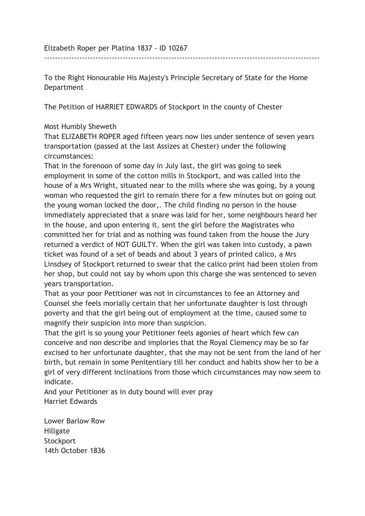Elizabeth Roper per Platina 1837 - ID 10267

To the Right Honourable His Majesty's Principle Secretary of State for the Home Department

------------------------------------------------------------------------------------------------------

The Petition of HARRIET EDWARDS of Stockport in the county of Chester

## Most Humbly Sheweth

That ELIZABETH ROPER aged fifteen years now lies under sentence of seven years transportation (passed at the last Assizes at Chester) under the following circumstances:

That in the forenoon of some day in July last, the girl was going to seek employment in some of the cotton mills in Stockport, and was called into the house of a Mrs Wright, situated near to the mills where she was going, by a young woman who requested the girl to remain there for a few minutes but on going out the young woman locked the door,. The child finding no person in the house immediately appreciated that a snare was laid for her, some neighbours heard her in the house, and upon entering it, sent the girl before the Magistrates who committed her for trial and as nothing was found taken from the house the Jury returned a verdict of NOT GUILTY. When the girl was taken into custody, a pawn ticket was found of a set of beads and about 3 years of printed calico, a Mrs Linsdsey of Stockport returned to swear that the calico print had been stolen from her shop, but could not say by whom upon this charge she was sentenced to seven years transportation.

That as your poor Petitioner was not in circumstances to fee an Attorney and Counsel she feels morially certain that her unfortunate daughter is lost through poverty and that the girl being out of employment at the time, caused some to magnify their suspicion into more than suspicion.

That the girl is so young your Petitioner feels agonies of heart which few can conceive and non describe and implories that the Royal Clemency may be so far excised to her unfortunate daughter, that she may not be sent from the land of her birth, but remain in some Penitentiary till her conduct and habits show her to be a girl of very different inclinations from those which circumstances may now seem to indicate.

And your Petitioner as in duty bound will ever pray Harriet Edwards

Lower Barlow Row Hillgate **Stockport** 14th October 1836